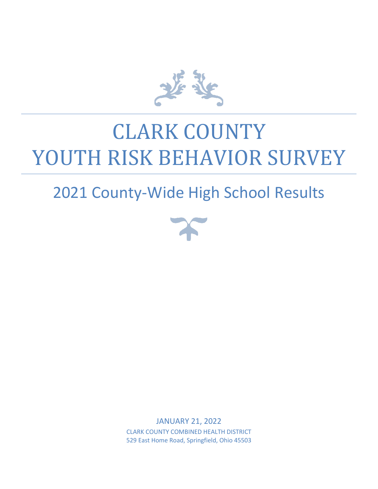

# CLARK COUNTY YOUTH RISK BEHAVIOR SURVEY

# 2021 County-Wide High School Results



JANUARY 21, 2022 CLARK COUNTY COMBINED HEALTH DISTRICT 529 East Home Road, Springfield, Ohio 45503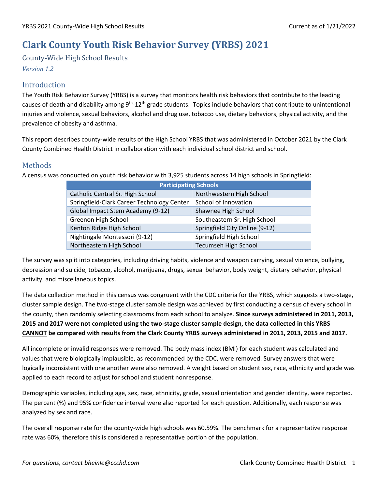## **Clark County Youth Risk Behavior Survey (YRBS) 2021**

County-Wide High School Results

*Version 1.2*

### Introduction

The Youth Risk Behavior Survey (YRBS) is a survey that monitors health risk behaviors that contribute to the leading causes of death and disability among 9<sup>th</sup>-12<sup>th</sup> grade students. Topics include behaviors that contribute to unintentional injuries and violence, sexual behaviors, alcohol and drug use, tobacco use, dietary behaviors, physical activity, and the prevalence of obesity and asthma.

This report describes county-wide results of the High School YRBS that was administered in October 2021 by the Clark County Combined Health District in collaboration with each individual school district and school.

### Methods

A census was conducted on youth risk behavior with 3,925 students across 14 high schools in Springfield:

| <b>Participating Schools</b>               |                                |  |  |
|--------------------------------------------|--------------------------------|--|--|
| Catholic Central Sr. High School           | Northwestern High School       |  |  |
| Springfield-Clark Career Technology Center | School of Innovation           |  |  |
| Global Impact Stem Academy (9-12)          | Shawnee High School            |  |  |
| Greenon High School                        | Southeastern Sr. High School   |  |  |
| Kenton Ridge High School                   | Springfield City Online (9-12) |  |  |
| Nightingale Montessori (9-12)              | Springfield High School        |  |  |
| Northeastern High School                   | <b>Tecumseh High School</b>    |  |  |

The survey was split into categories, including driving habits, violence and weapon carrying, sexual violence, bullying, depression and suicide, tobacco, alcohol, marijuana, drugs, sexual behavior, body weight, dietary behavior, physical activity, and miscellaneous topics.

The data collection method in this census was congruent with the CDC criteria for the YRBS, which suggests a two-stage, cluster sample design. The two-stage cluster sample design was achieved by first conducting a census of every school in the county, then randomly selecting classrooms from each school to analyze. **Since surveys administered in 2011, 2013, 2015 and 2017 were not completed using the two-stage cluster sample design, the data collected in this YRBS CANNOT be compared with results from the Clark County YRBS surveys administered in 2011, 2013, 2015 and 2017.**

All incomplete or invalid responses were removed. The body mass index (BMI) for each student was calculated and values that were biologically implausible, as recommended by the CDC, were removed. Survey answers that were logically inconsistent with one another were also removed. A weight based on student sex, race, ethnicity and grade was applied to each record to adjust for school and student nonresponse.

Demographic variables, including age, sex, race, ethnicity, grade, sexual orientation and gender identity, were reported. The percent (%) and 95% confidence interval were also reported for each question. Additionally, each response was analyzed by sex and race.

The overall response rate for the county-wide high schools was 60.59%. The benchmark for a representative response rate was 60%, therefore this is considered a representative portion of the population.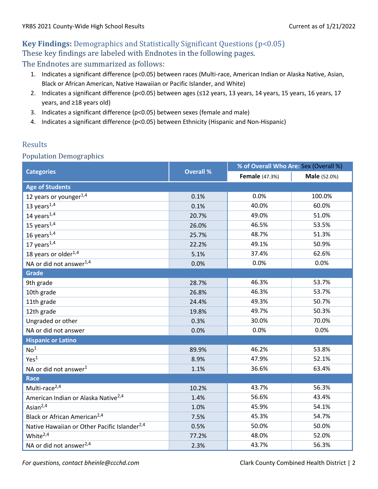# **Key Findings:** Demographics and Statistically Significant Questions (p<0.05) These key findings are labeled with Endnotes in the following pages.

The Endnotes are summarized as follows:

- 1. Indicates a significant difference (p<0.05) between races (Multi-race, American Indian or Alaska Native, Asian, Black or African American, Native Hawaiian or Pacific Islander, and White)
- 2. Indicates a significant difference (p<0.05) between ages (≤12 years, 13 years, 14 years, 15 years, 16 years, 17 years, and ≥18 years old)
- 3. Indicates a significant difference (p<0.05) between sexes (female and male)
- 4. Indicates a significant difference (p<0.05) between Ethnicity (Hispanic and Non-Hispanic)

### Results

### Population Demographics

|                                                          |                  | % of Overall Who Are: Sex (Overall %) |                     |  |
|----------------------------------------------------------|------------------|---------------------------------------|---------------------|--|
| <b>Categories</b>                                        | <b>Overall %</b> | <b>Female</b> (47.3%)                 | <b>Male</b> (52.0%) |  |
| <b>Age of Students</b>                                   |                  |                                       |                     |  |
| 12 years or younger <sup>1,4</sup>                       | 0.1%             | 0.0%                                  | 100.0%              |  |
| 13 years $\sqrt{1.4}$                                    | 0.1%             | 40.0%                                 | 60.0%               |  |
| 14 years $1,4$                                           | 20.7%            | 49.0%                                 | 51.0%               |  |
| 15 years $1.4$                                           | 26.0%            | 46.5%                                 | 53.5%               |  |
| 16 years $1,4$                                           | 25.7%            | 48.7%                                 | 51.3%               |  |
| 17 years $1,4$                                           | 22.2%            | 49.1%                                 | 50.9%               |  |
| 18 years or older $^{1,4}$                               | 5.1%             | 37.4%                                 | 62.6%               |  |
| NA or did not answer <sup>1,4</sup>                      | 0.0%             | 0.0%                                  | 0.0%                |  |
| <b>Grade</b>                                             |                  |                                       |                     |  |
| 9th grade                                                | 28.7%            | 46.3%                                 | 53.7%               |  |
| 10th grade                                               | 26.8%            | 46.3%                                 | 53.7%               |  |
| 11th grade                                               | 24.4%            | 49.3%                                 | 50.7%               |  |
| 12th grade                                               | 19.8%            | 49.7%                                 | 50.3%               |  |
| Ungraded or other                                        | 0.3%             | 30.0%                                 | 70.0%               |  |
| NA or did not answer                                     | 0.0%             | 0.0%                                  | 0.0%                |  |
| <b>Hispanic or Latino</b>                                |                  |                                       |                     |  |
| No <sup>1</sup>                                          | 89.9%            | 46.2%                                 | 53.8%               |  |
| Yes <sup>1</sup>                                         | 8.9%             | 47.9%                                 | 52.1%               |  |
| NA or did not answer <sup>1</sup>                        | 1.1%             | 36.6%                                 | 63.4%               |  |
| Race                                                     |                  |                                       |                     |  |
| Multi-race <sup>2,4</sup>                                | 10.2%            | 43.7%                                 | 56.3%               |  |
| American Indian or Alaska Native <sup>2,4</sup>          | 1.4%             | 56.6%                                 | 43.4%               |  |
| Asian $2,4$                                              | 1.0%             | 45.9%                                 | 54.1%               |  |
| Black or African American <sup>2,4</sup>                 | 7.5%             | 45.3%                                 | 54.7%               |  |
| Native Hawaiian or Other Pacific Islander <sup>2,4</sup> | 0.5%             | 50.0%                                 | 50.0%               |  |
| White <sup>2,4</sup>                                     | 77.2%            | 48.0%                                 | 52.0%               |  |
| NA or did not answer <sup>2,4</sup>                      | 2.3%             | 43.7%                                 | 56.3%               |  |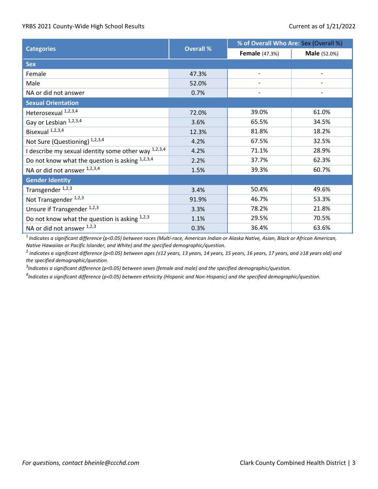|                                                        |                  | % of Overall Who Are: Sex (Overall %) |                     |  |
|--------------------------------------------------------|------------------|---------------------------------------|---------------------|--|
| <b>Categories</b>                                      | <b>Overall %</b> | <b>Female</b> (47.3%)                 | <b>Male</b> (52.0%) |  |
| <b>Sex</b>                                             |                  |                                       |                     |  |
| Female                                                 | 47.3%            |                                       |                     |  |
| Male                                                   | 52.0%            |                                       |                     |  |
| NA or did not answer                                   | 0.7%             |                                       |                     |  |
| <b>Sexual Orientation</b>                              |                  |                                       |                     |  |
| Heterosexual 1,2,3,4                                   | 72.0%            | 39.0%                                 | 61.0%               |  |
| Gay or Lesbian 1,2,3,4                                 | 3.6%             | 65.5%                                 | 34.5%               |  |
| Bisexual <sup>1,2,3,4</sup>                            | 12.3%            | 81.8%                                 | 18.2%               |  |
| Not Sure (Questioning) 1,2,3,4                         | 4.2%             | 67.5%                                 | 32.5%               |  |
| I describe my sexual identity some other way $1,2,3,4$ | 4.2%             | 71.1%                                 | 28.9%               |  |
| Do not know what the question is asking 1,2,3,4        | 2.2%             | 37.7%                                 | 62.3%               |  |
| NA or did not answer 1,2,3,4                           | 1.5%             | 39.3%                                 | 60.7%               |  |
| <b>Gender Identity</b>                                 |                  |                                       |                     |  |
| Transgender <sup>1,2,3</sup>                           | 3.4%             | 50.4%                                 | 49.6%               |  |
| Not Transgender <sup>1,2,3</sup>                       | 91.9%            | 46.7%                                 | 53.3%               |  |
| Unsure if Transgender <sup>1,2,3</sup>                 | 3.3%             | 78.2%                                 | 21.8%               |  |
| Do not know what the question is asking $1,2,3$        | 1.1%             | 29.5%                                 | 70.5%               |  |
| NA or did not answer 1,2,3                             | 0.3%             | 36.4%                                 | 63.6%               |  |

1 *Indicates a significant difference (p<0.05) between races (Multi-race, American Indian or Alaska Native, Asian, Black or African American, Native Hawaiian or Pacific Islander, and White) and the specified demographic/question.*

2 *Indicates a significant difference (p<0.05) between ages (≤12 years, 13 years, 14 years, 15 years, 16 years, 17 years, and ≥18 years old) and the specified demographic/question.* 

*3 Indicates a significant difference (p<0.05) between sexes (female and male) and the specified demographic/question.*

*4 Indicates a significant difference (p<0.05) between ethnicity (Hispanic and Non-Hispanic) and the specified demographic/question.*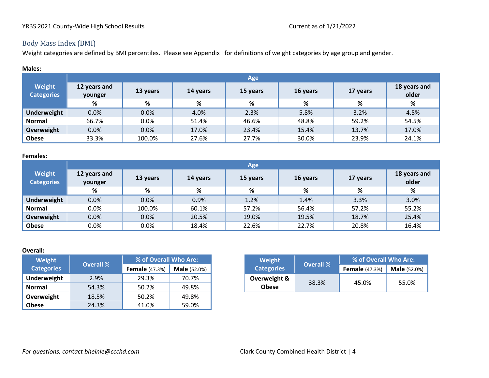Weight categories are defined by BMI percentiles. Please see Appendix I for definitions of weight categories by age group and gender.

| <b>Males:</b>               |                         |          |          |          |          |          |                       |
|-----------------------------|-------------------------|----------|----------|----------|----------|----------|-----------------------|
|                             |                         | Age      |          |          |          |          |                       |
| Weight<br><b>Categories</b> | 12 years and<br>younger | 13 years | 14 years | 15 years | 16 years | 17 years | 18 years and<br>older |
|                             | %                       | %        | %        | %        | %        | %        | %                     |
| <b>Underweight</b>          | 0.0%                    | 0.0%     | 4.0%     | 2.3%     | 5.8%     | 3.2%     | 4.5%                  |
| <b>Normal</b>               | 66.7%                   | 0.0%     | 51.4%    | 46.6%    | 48.8%    | 59.2%    | 54.5%                 |
| Overweight                  | 0.0%                    | 0.0%     | 17.0%    | 23.4%    | 15.4%    | 13.7%    | 17.0%                 |
| <b>Obese</b>                | 33.3%                   | 100.0%   | 27.6%    | 27.7%    | 30.0%    | 23.9%    | 24.1%                 |

#### **Females:**

|                             | Age                     |          |          |          |          |          |                       |
|-----------------------------|-------------------------|----------|----------|----------|----------|----------|-----------------------|
| Weight<br><b>Categories</b> | 12 years and<br>younger | 13 years | 14 years | 15 years | 16 years | 17 years | 18 years and<br>older |
|                             | %                       | %        | %        | %        | %        | %        | %                     |
| Underweight                 | 0.0%                    | 0.0%     | 0.9%     | 1.2%     | 1.4%     | 3.3%     | 3.0%                  |
| <b>Normal</b>               | 0.0%                    | 100.0%   | 60.1%    | 57.2%    | 56.4%    | 57.2%    | 55.2%                 |
| Overweight                  | 0.0%                    | 0.0%     | 20.5%    | 19.0%    | 19.5%    | 18.7%    | 25.4%                 |
| <b>Obese</b>                | 0.0%                    | 0.0%     | 18.4%    | 22.6%    | 22.7%    | 20.8%    | 16.4%                 |

#### **Overall:**

| Weight            | <b>Overall %</b> | % of Overall Who Are: |                     | Weight            | <b>Overall %</b> | % of Overall Who Are: |                  |
|-------------------|------------------|-----------------------|---------------------|-------------------|------------------|-----------------------|------------------|
| <b>Categories</b> |                  | <b>Female</b> (47.3%) | <b>Male</b> (52.0%) | <b>Categories</b> |                  | <b>Female</b> (47.3%) | <b>Male</b> (52. |
| Underweight       | 2.9%             | 29.3%                 | 70.7%               | Overweight &      | 38.3%            |                       |                  |
| Normal            | 54.3%            | 50.2%                 | 49.8%               | <b>Obese</b>      |                  |                       | 45.0%            |
| Overweight        | 18.5%            | 50.2%                 | 49.8%               |                   |                  |                       |                  |
| <b>Obese</b>      | 24.3%            | 41.0%                 | 59.0%               |                   |                  |                       |                  |

| % of Overall Who Are: |                     | Weight            | <b>Overall</b> % | % of Overall Who Are: |                     |
|-----------------------|---------------------|-------------------|------------------|-----------------------|---------------------|
| <b>Female</b> (47.3%) | <b>Male</b> (52.0%) | <b>Categories</b> |                  | <b>Female</b> (47.3%) | <b>Male</b> (52.0%) |
| 29.3%                 | 70.7%               | Overweight &      |                  |                       |                     |
| 50.2%                 | 49.8%               | <b>Obese</b>      | 38.3%            | 45.0%                 | 55.0%               |

## Body Mass Index (BMI)

*For questions, contact bheinle@ccchd.com Clark County Combined Health District* | 4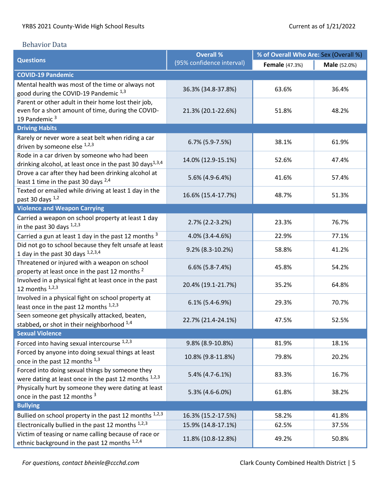#### Behavior Data

|                                                                             | <b>Overall %</b>          | % of Overall Who Are: Sex (Overall %) |                     |  |
|-----------------------------------------------------------------------------|---------------------------|---------------------------------------|---------------------|--|
| <b>Questions</b>                                                            | (95% confidence interval) | <b>Female</b> (47.3%)                 | <b>Male</b> (52.0%) |  |
| <b>COVID-19 Pandemic</b>                                                    |                           |                                       |                     |  |
| Mental health was most of the time or always not                            |                           |                                       |                     |  |
| good during the COVID-19 Pandemic 1,3                                       | 36.3% (34.8-37.8%)        | 63.6%                                 | 36.4%               |  |
| Parent or other adult in their home lost their job,                         |                           |                                       |                     |  |
| even for a short amount of time, during the COVID-                          | 21.3% (20.1-22.6%)        | 51.8%                                 | 48.2%               |  |
| 19 Pandemic <sup>3</sup>                                                    |                           |                                       |                     |  |
| <b>Driving Habits</b>                                                       |                           |                                       |                     |  |
| Rarely or never wore a seat belt when riding a car                          | $6.7\%$ (5.9-7.5%)        | 38.1%                                 | 61.9%               |  |
| driven by someone else 1,2,3                                                |                           |                                       |                     |  |
| Rode in a car driven by someone who had been                                | 14.0% (12.9-15.1%)        | 52.6%                                 | 47.4%               |  |
| drinking alcohol, at least once in the past 30 days <sup>1,3,4</sup>        |                           |                                       |                     |  |
| Drove a car after they had been drinking alcohol at                         | 5.6% (4.9-6.4%)           | 41.6%                                 | 57.4%               |  |
| least 1 time in the past 30 days <sup>2,4</sup>                             |                           |                                       |                     |  |
| Texted or emailed while driving at least 1 day in the                       | 16.6% (15.4-17.7%)        | 48.7%                                 | 51.3%               |  |
| past 30 days 1,2                                                            |                           |                                       |                     |  |
| <b>Violence and Weapon Carrying</b>                                         |                           |                                       |                     |  |
| Carried a weapon on school property at least 1 day                          | $2.7\%$ (2.2-3.2%)        | 23.3%                                 | 76.7%               |  |
| in the past 30 days $1,2,3$                                                 |                           |                                       |                     |  |
| Carried a gun at least 1 day in the past 12 months $3$                      | 4.0% (3.4-4.6%)           | 22.9%                                 | 77.1%               |  |
| Did not go to school because they felt unsafe at least                      | 9.2% (8.3-10.2%)          | 58.8%                                 | 41.2%               |  |
| 1 day in the past 30 days $1,2,3,4$                                         |                           |                                       |                     |  |
| Threatened or injured with a weapon on school                               | $6.6\%$ (5.8-7.4%)        | 45.8%                                 | 54.2%               |  |
| property at least once in the past 12 months <sup>2</sup>                   |                           |                                       |                     |  |
| Involved in a physical fight at least once in the past<br>12 months $1,2,3$ | 20.4% (19.1-21.7%)        | 35.2%                                 | 64.8%               |  |
| Involved in a physical fight on school property at                          |                           |                                       |                     |  |
| least once in the past 12 months 1,2,3                                      | $6.1\%$ (5.4-6.9%)        | 29.3%                                 | 70.7%               |  |
| Seen someone get physically attacked, beaten,                               |                           |                                       |                     |  |
| stabbed, or shot in their neighborhood 1,4                                  | 22.7% (21.4-24.1%)        | 47.5%                                 | 52.5%               |  |
| <b>Sexual Violence</b>                                                      |                           |                                       |                     |  |
| Forced into having sexual intercourse 1,2,3                                 | 9.8% (8.9-10.8%)          | 81.9%                                 | 18.1%               |  |
| Forced by anyone into doing sexual things at least                          |                           |                                       |                     |  |
| once in the past 12 months 1,3                                              | 10.8% (9.8-11.8%)         | 79.8%                                 | 20.2%               |  |
| Forced into doing sexual things by someone they                             |                           |                                       |                     |  |
| were dating at least once in the past 12 months 1,2,3                       | 5.4% (4.7-6.1%)           | 83.3%                                 | 16.7%               |  |
| Physically hurt by someone they were dating at least                        |                           |                                       |                     |  |
| once in the past 12 months 3                                                | 5.3% (4.6-6.0%)           | 61.8%                                 | 38.2%               |  |
| <b>Bullying</b>                                                             |                           |                                       |                     |  |
| Bullied on school property in the past 12 months $1,2,3$                    | 16.3% (15.2-17.5%)        | 58.2%                                 | 41.8%               |  |
| Electronically bullied in the past 12 months 1,2,3                          | 15.9% (14.8-17.1%)        | 62.5%                                 | 37.5%               |  |
| Victim of teasing or name calling because of race or                        |                           |                                       |                     |  |
| ethnic background in the past 12 months 1,2,4                               | 11.8% (10.8-12.8%)        | 49.2%                                 | 50.8%               |  |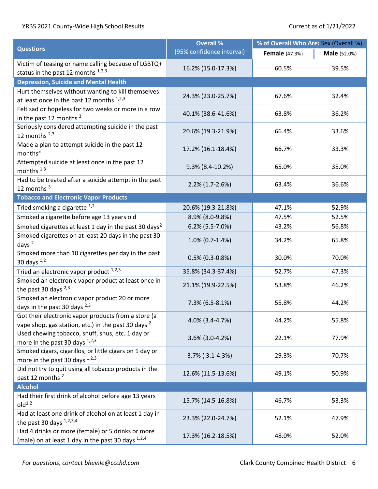|                                                                                                                       | <b>Overall %</b>          | % of Overall Who Are: Sex (Overall %) |                     |  |
|-----------------------------------------------------------------------------------------------------------------------|---------------------------|---------------------------------------|---------------------|--|
| <b>Questions</b>                                                                                                      | (95% confidence interval) | <b>Female</b> (47.3%)                 | <b>Male</b> (52.0%) |  |
| Victim of teasing or name calling because of LGBTQ+<br>status in the past 12 months 1,2,3                             | 16.2% (15.0-17.3%)        | 60.5%                                 | 39.5%               |  |
| <b>Depression, Suicide and Mental Health</b>                                                                          |                           |                                       |                     |  |
| Hurt themselves without wanting to kill themselves<br>at least once in the past 12 months 1,2,3                       | 24.3% (23.0-25.7%)        | 67.6%                                 | 32.4%               |  |
| Felt sad or hopeless for two weeks or more in a row<br>in the past 12 months <sup>3</sup>                             | 40.1% (38.6-41.6%)        | 63.8%                                 | 36.2%               |  |
| Seriously considered attempting suicide in the past<br>12 months $2,3$                                                | 20.6% (19.3-21.9%)        | 66.4%                                 | 33.6%               |  |
| Made a plan to attempt suicide in the past 12<br>months <sup>3</sup>                                                  | 17.2% (16.1-18.4%)        | 66.7%                                 | 33.3%               |  |
| Attempted suicide at least once in the past 12<br>months $1,3$                                                        | $9.3\%$ (8.4-10.2%)       | 65.0%                                 | 35.0%               |  |
| Had to be treated after a suicide attempt in the past<br>12 months <sup>3</sup>                                       | $2.2\%$ (1.7-2.6%)        | 63.4%                                 | 36.6%               |  |
| <b>Tobacco and Electronic Vapor Products</b>                                                                          |                           |                                       |                     |  |
| Tried smoking a cigarette 1,2                                                                                         | 20.6% (19.3-21.8%)        | 47.1%                                 | 52.9%               |  |
| Smoked a cigarette before age 13 years old                                                                            | 8.9% (8.0-9.8%)           | 47.5%                                 | 52.5%               |  |
| Smoked cigarettes at least 1 day in the past 30 days <sup>2</sup>                                                     | 6.2% (5.5-7.0%)           | 43.2%                                 | 56.8%               |  |
| Smoked cigarettes on at least 20 days in the past 30<br>days $^2$                                                     | 1.0% (0.7-1.4%)           | 34.2%                                 | 65.8%               |  |
| Smoked more than 10 cigarettes per day in the past<br>30 days $1,2$                                                   | $0.5\%$ (0.3-0.8%)        | 30.0%                                 | 70.0%               |  |
| Tried an electronic vapor product 1,2,3                                                                               | 35.8% (34.3-37.4%)        | 52.7%                                 | 47.3%               |  |
| Smoked an electronic vapor product at least once in<br>the past 30 days $^{2,3}$                                      | 21.1% (19.9-22.5%)        | 53.8%                                 | 46.2%               |  |
| Smoked an electronic vapor product 20 or more<br>days in the past 30 days 2,3                                         | 7.3% (6.5-8.1%)           | 55.8%                                 | 44.2%               |  |
| Got their electronic vapor products from a store (a<br>vape shop, gas station, etc.) in the past 30 days <sup>2</sup> | 4.0% (3.4-4.7%)           | 44.2%                                 | 55.8%               |  |
| Used chewing tobacco, snuff, snus, etc. 1 day or<br>more in the past 30 days 1,2,3                                    | 3.6% (3.0-4.2%)           | 22.1%                                 | 77.9%               |  |
| Smoked cigars, cigarillos, or little cigars on 1 day or<br>more in the past 30 days 1,2,3                             | $3.7\%$ (3.1-4.3%)        | 29.3%                                 | 70.7%               |  |
| Did not try to quit using all tobacco products in the<br>past 12 months <sup>2</sup>                                  | 12.6% (11.5-13.6%)        | 49.1%                                 | 50.9%               |  |
| <b>Alcohol</b>                                                                                                        |                           |                                       |                     |  |
| Had their first drink of alcohol before age 13 years<br>old <sup>1,2</sup>                                            | 15.7% (14.5-16.8%)        | 46.7%                                 | 53.3%               |  |
| Had at least one drink of alcohol on at least 1 day in<br>the past 30 days 1,2,3,4                                    | 23.3% (22.0-24.7%)        | 52.1%                                 | 47.9%               |  |
| Had 4 drinks or more (female) or 5 drinks or more<br>(male) on at least 1 day in the past 30 days 1,2,4               | 17.3% (16.2-18.5%)        | 48.0%                                 | 52.0%               |  |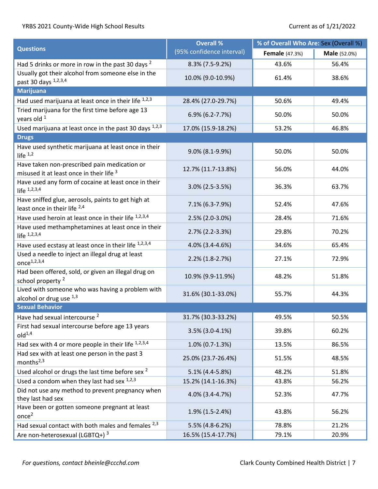|                                                                                          | <b>Overall %</b>          | % of Overall Who Are: Sex (Overall %) |                     |  |
|------------------------------------------------------------------------------------------|---------------------------|---------------------------------------|---------------------|--|
| <b>Questions</b>                                                                         | (95% confidence interval) | <b>Female</b> (47.3%)                 | <b>Male</b> (52.0%) |  |
| Had 5 drinks or more in row in the past 30 days <sup>2</sup>                             | 8.3% (7.5-9.2%)           | 43.6%                                 | 56.4%               |  |
| Usually got their alcohol from someone else in the<br>past 30 days 1,2,3,4               | 10.0% (9.0-10.9%)         | 61.4%                                 | 38.6%               |  |
| <b>Marijuana</b>                                                                         |                           |                                       |                     |  |
| Had used marijuana at least once in their life 1,2,3                                     | 28.4% (27.0-29.7%)        | 50.6%                                 | 49.4%               |  |
| Tried marijuana for the first time before age 13<br>years old 1                          | 6.9% (6.2-7.7%)           | 50.0%                                 | 50.0%               |  |
| Used marijuana at least once in the past 30 days 1,2,3                                   | 17.0% (15.9-18.2%)        | 53.2%                                 | 46.8%               |  |
| <b>Drugs</b>                                                                             |                           |                                       |                     |  |
| Have used synthetic marijuana at least once in their<br>life $1,2$                       | 9.0% (8.1-9.9%)           | 50.0%                                 | 50.0%               |  |
| Have taken non-prescribed pain medication or<br>misused it at least once in their life 3 | 12.7% (11.7-13.8%)        | 56.0%                                 | 44.0%               |  |
| Have used any form of cocaine at least once in their<br>life $1,2,3,4$                   | 3.0% (2.5-3.5%)           | 36.3%                                 | 63.7%               |  |
| Have sniffed glue, aerosols, paints to get high at<br>least once in their life 2,4       | 7.1% (6.3-7.9%)           | 52.4%                                 | 47.6%               |  |
| Have used heroin at least once in their life 1,2,3,4                                     | 2.5% (2.0-3.0%)           | 28.4%                                 | 71.6%               |  |
| Have used methamphetamines at least once in their<br>life $1,2,3,4$                      | 2.7% (2.2-3.3%)           | 29.8%                                 | 70.2%               |  |
| Have used ecstasy at least once in their life 1,2,3,4                                    | 4.0% (3.4-4.6%)           | 34.6%                                 | 65.4%               |  |
| Used a needle to inject an illegal drug at least<br>once <sup>1,2,3,4</sup>              | 2.2% (1.8-2.7%)           | 27.1%                                 | 72.9%               |  |
| Had been offered, sold, or given an illegal drug on<br>school property <sup>2</sup>      | 10.9% (9.9-11.9%)         | 48.2%                                 | 51.8%               |  |
| Lived with someone who was having a problem with<br>alcohol or drug use $^{1,3}$         | 31.6% (30.1-33.0%)        | 55.7%                                 | 44.3%               |  |
| <b>Sexual Behavior</b>                                                                   |                           |                                       |                     |  |
| Have had sexual intercourse <sup>2</sup>                                                 | 31.7% (30.3-33.2%)        | 49.5%                                 | 50.5%               |  |
| First had sexual intercourse before age 13 years<br>old <sup>1,4</sup>                   | 3.5% (3.0-4.1%)           | 39.8%                                 | 60.2%               |  |
| Had sex with 4 or more people in their life $1,2,3,4$                                    | $1.0\%$ (0.7-1.3%)        | 13.5%                                 | 86.5%               |  |
| Had sex with at least one person in the past 3<br>months $^{2,3}$                        | 25.0% (23.7-26.4%)        | 51.5%                                 | 48.5%               |  |
| Used alcohol or drugs the last time before sex <sup>2</sup>                              | 5.1% (4.4-5.8%)           | 48.2%                                 | 51.8%               |  |
| Used a condom when they last had sex $1,2,3$                                             | 15.2% (14.1-16.3%)        | 43.8%                                 | 56.2%               |  |
| Did not use any method to prevent pregnancy when<br>they last had sex                    | 4.0% (3.4-4.7%)           | 52.3%                                 | 47.7%               |  |
| Have been or gotten someone pregnant at least<br>once <sup>2</sup>                       | 1.9% (1.5-2.4%)           | 43.8%                                 | 56.2%               |  |
| Had sexual contact with both males and females 2,3                                       | 5.5% (4.8-6.2%)           | 78.8%                                 | 21.2%               |  |
| Are non-heterosexual (LGBTQ+) <sup>3</sup>                                               | 16.5% (15.4-17.7%)        | 79.1%                                 | 20.9%               |  |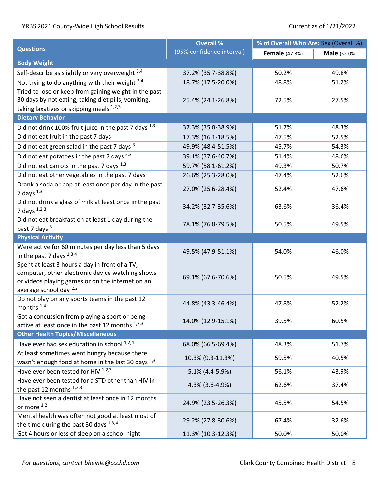|                                                                                       | <b>Overall %</b>          | % of Overall Who Are: Sex (Overall %) |                     |  |
|---------------------------------------------------------------------------------------|---------------------------|---------------------------------------|---------------------|--|
| <b>Questions</b>                                                                      | (95% confidence interval) | <b>Female</b> (47.3%)                 | <b>Male</b> (52.0%) |  |
| <b>Body Weight</b>                                                                    |                           |                                       |                     |  |
| Self-describe as slightly or very overweight 3,4                                      | 37.2% (35.7-38.8%)        | 50.2%                                 | 49.8%               |  |
| Not trying to do anything with their weight $2.4$                                     | 18.7% (17.5-20.0%)        | 48.8%                                 | 51.2%               |  |
| Tried to lose or keep from gaining weight in the past                                 |                           |                                       |                     |  |
| 30 days by not eating, taking diet pills, vomiting,                                   | 25.4% (24.1-26.8%)        | 72.5%                                 | 27.5%               |  |
| taking laxatives or skipping meals 1,2,3                                              |                           |                                       |                     |  |
| <b>Dietary Behavior</b>                                                               |                           |                                       |                     |  |
| Did not drink 100% fruit juice in the past 7 days $^{1,3}$                            | 37.3% (35.8-38.9%)        | 51.7%                                 | 48.3%               |  |
| Did not eat fruit in the past 7 days                                                  | 17.3% (16.1-18.5%)        | 47.5%                                 | 52.5%               |  |
| Did not eat green salad in the past 7 days <sup>3</sup>                               | 49.9% (48.4-51.5%)        | 45.7%                                 | 54.3%               |  |
| Did not eat potatoes in the past 7 days $2,3$                                         | 39.1% (37.6-40.7%)        | 51.4%                                 | 48.6%               |  |
| Did not eat carrots in the past 7 days 1,3                                            | 59.7% (58.1-61.2%)        | 49.3%                                 | 50.7%               |  |
| Did not eat other vegetables in the past 7 days                                       | 26.6% (25.3-28.0%)        | 47.4%                                 | 52.6%               |  |
| Drank a soda or pop at least once per day in the past                                 |                           |                                       |                     |  |
| 7 days $^{1,3}$                                                                       | 27.0% (25.6-28.4%)        | 52.4%                                 | 47.6%               |  |
| Did not drink a glass of milk at least once in the past                               | 34.2% (32.7-35.6%)        | 63.6%                                 |                     |  |
| 7 days $1,2,3$                                                                        |                           |                                       | 36.4%               |  |
| Did not eat breakfast on at least 1 day during the                                    | 78.1% (76.8-79.5%)        | 50.5%                                 | 49.5%               |  |
| past 7 days 3                                                                         |                           |                                       |                     |  |
| <b>Physical Activity</b>                                                              |                           |                                       |                     |  |
| Were active for 60 minutes per day less than 5 days                                   | 49.5% (47.9-51.1%)        | 54.0%                                 | 46.0%               |  |
| in the past 7 days $^{1,3,4}$                                                         |                           |                                       |                     |  |
| Spent at least 3 hours a day in front of a TV,                                        |                           |                                       |                     |  |
| computer, other electronic device watching shows                                      | 69.1% (67.6-70.6%)        | 50.5%                                 | 49.5%               |  |
| or videos playing games or on the internet on an<br>average school day <sup>2,3</sup> |                           |                                       |                     |  |
| Do not play on any sports teams in the past 12                                        |                           |                                       |                     |  |
| months <sup>1,4</sup>                                                                 | 44.8% (43.3-46.4%)        | 47.8%                                 | 52.2%               |  |
| Got a concussion from playing a sport or being                                        |                           |                                       |                     |  |
| active at least once in the past 12 months 1,2,3                                      | 14.0% (12.9-15.1%)        | 39.5%                                 | 60.5%               |  |
| <b>Other Health Topics/Miscellaneous</b>                                              |                           |                                       |                     |  |
| Have ever had sex education in school 1,2,4                                           | 68.0% (66.5-69.4%)        | 48.3%                                 | 51.7%               |  |
| At least sometimes went hungry because there                                          |                           |                                       |                     |  |
| wasn't enough food at home in the last 30 days 1,3                                    | 10.3% (9.3-11.3%)         | 59.5%                                 | 40.5%               |  |
| Have ever been tested for HIV 1,2,3                                                   | 5.1% (4.4-5.9%)           | 56.1%                                 | 43.9%               |  |
| Have ever been tested for a STD other than HIV in                                     |                           |                                       |                     |  |
| the past 12 months $1,2,3$                                                            | 4.3% (3.6-4.9%)           | 62.6%                                 | 37.4%               |  |
| Have not seen a dentist at least once in 12 months                                    |                           |                                       |                     |  |
| or more 1,2                                                                           | 24.9% (23.5-26.3%)        | 45.5%                                 | 54.5%               |  |
| Mental health was often not good at least most of                                     | 29.2% (27.8-30.6%)        | 67.4%                                 | 32.6%               |  |
| the time during the past 30 days 1,3,4                                                |                           |                                       |                     |  |
| Get 4 hours or less of sleep on a school night                                        | 11.3% (10.3-12.3%)        | 50.0%                                 | 50.0%               |  |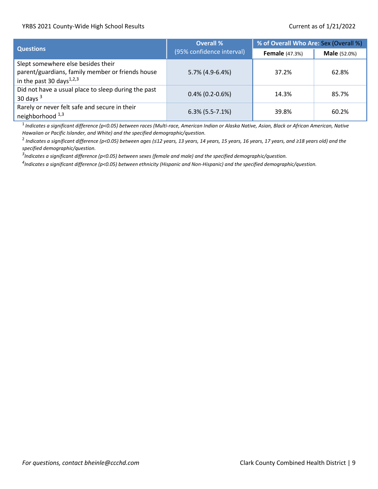|                                                                                                                       | <b>Overall %</b>          | % of Overall Who Are: Sex (Overall %) |                     |  |
|-----------------------------------------------------------------------------------------------------------------------|---------------------------|---------------------------------------|---------------------|--|
| <b>Questions</b>                                                                                                      | (95% confidence interval) | <b>Female</b> (47.3%)                 | <b>Male</b> (52.0%) |  |
| Slept somewhere else besides their<br>parent/guardians, family member or friends house<br>in the past 30 days $1,2,3$ | 5.7% (4.9-6.4%)           | 37.2%                                 | 62.8%               |  |
| Did not have a usual place to sleep during the past<br>30 days $3$                                                    | $0.4\%$ (0.2-0.6%)        | 14.3%                                 | 85.7%               |  |
| Rarely or never felt safe and secure in their<br>neighborhood <sup>1,3</sup>                                          | $6.3\%$ (5.5-7.1%)        | 39.8%                                 | 60.2%               |  |

1 *Indicates a significant difference (p<0.05) between races (Multi-race, American Indian or Alaska Native, Asian, Black or African American, Native Hawaiian or Pacific Islander, and White) and the specified demographic/question.*

2 *Indicates a significant difference (p<0.05) between ages (≤12 years, 13 years, 14 years, 15 years, 16 years, 17 years, and ≥18 years old) and the specified demographic/question.* 

*3 Indicates a significant difference (p<0.05) between sexes (female and male) and the specified demographic/question.*

*4 Indicates a significant difference (p<0.05) between ethnicity (Hispanic and Non-Hispanic) and the specified demographic/question.*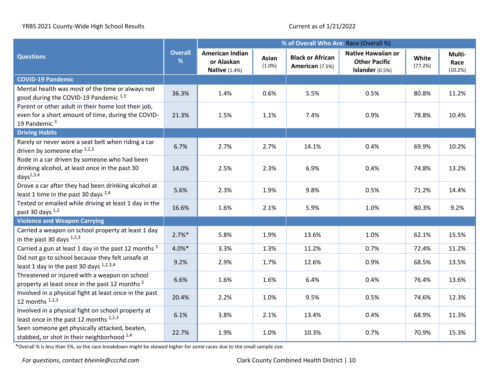|                                                                                                                                       |                     | % of Overall Who Are: Race (Overall %)                       |                    |                                            |                                                                      |                  |                           |
|---------------------------------------------------------------------------------------------------------------------------------------|---------------------|--------------------------------------------------------------|--------------------|--------------------------------------------|----------------------------------------------------------------------|------------------|---------------------------|
| <b>Questions</b>                                                                                                                      | <b>Overall</b><br>% | <b>American Indian</b><br>or Alaskan<br><b>Native (1.4%)</b> | Asian<br>$(1.0\%)$ | <b>Black or African</b><br>American (7.5%) | <b>Native Hawaiian or</b><br><b>Other Pacific</b><br>Islander (0.5%) | White<br>(77.2%) | Multi-<br>Race<br>(10.2%) |
| <b>COVID-19 Pandemic</b>                                                                                                              |                     |                                                              |                    |                                            |                                                                      |                  |                           |
| Mental health was most of the time or always not<br>good during the COVID-19 Pandemic 1,3                                             | 36.3%               | 1.4%                                                         | 0.6%               | 5.5%                                       | 0.5%                                                                 | 80.8%            | 11.2%                     |
| Parent or other adult in their home lost their job,<br>even for a short amount of time, during the COVID-<br>19 Pandemic <sup>3</sup> | 21.3%               | 1.5%                                                         | 1.1%               | 7.4%                                       | 0.9%                                                                 | 78.8%            | 10.4%                     |
| <b>Driving Habits</b>                                                                                                                 |                     |                                                              |                    |                                            |                                                                      |                  |                           |
| Rarely or never wore a seat belt when riding a car<br>driven by someone else $^{1,2,3}$                                               | 6.7%                | 2.7%                                                         | 2.7%               | 14.1%                                      | 0.4%                                                                 | 69.9%            | 10.2%                     |
| Rode in a car driven by someone who had been<br>drinking alcohol, at least once in the past 30<br>days $1,3,4$                        | 14.0%               | 2.5%                                                         | 2.3%               | 6.9%                                       | 0.4%                                                                 | 74.8%            | 13.2%                     |
| Drove a car after they had been drinking alcohol at<br>least 1 time in the past 30 days <sup>2,4</sup>                                | 5.6%                | 2.3%                                                         | 1.9%               | 9.8%                                       | 0.5%                                                                 | 71.2%            | 14.4%                     |
| Texted or emailed while driving at least 1 day in the<br>past 30 days 1,2                                                             | 16.6%               | 1.6%                                                         | 2.1%               | 5.9%                                       | 1.0%                                                                 | 80.3%            | 9.2%                      |
| <b>Violence and Weapon Carrying</b>                                                                                                   |                     |                                                              |                    |                                            |                                                                      |                  |                           |
| Carried a weapon on school property at least 1 day<br>in the past 30 days $1,2,3$                                                     | $2.7%$ *            | 5.8%                                                         | 1.9%               | 13.6%                                      | 1.0%                                                                 | 62.1%            | 15.5%                     |
| Carried a gun at least 1 day in the past 12 months 3                                                                                  | 4.0%*               | 3.3%                                                         | 1.3%               | 11.2%                                      | 0.7%                                                                 | 72.4%            | 11.2%                     |
| Did not go to school because they felt unsafe at<br>least 1 day in the past 30 days 1,2,3,4                                           | 9.2%                | 2.9%                                                         | 1.7%               | 12.6%                                      | 0.9%                                                                 | 68.5%            | 13.5%                     |
| Threatened or injured with a weapon on school<br>property at least once in the past 12 months <sup>2</sup>                            | 6.6%                | 1.6%                                                         | 1.6%               | 6.4%                                       | 0.4%                                                                 | 76.4%            | 13.6%                     |
| Involved in a physical fight at least once in the past<br>12 months $1,2,3$                                                           | 20.4%               | 2.2%                                                         | 1.0%               | 9.5%                                       | 0.5%                                                                 | 74.6%            | 12.3%                     |
| Involved in a physical fight on school property at<br>least once in the past 12 months $1,2,3$                                        | 6.1%                | 3.8%                                                         | 2.1%               | 13.4%                                      | 0.4%                                                                 | 68.9%            | 11.3%                     |
| Seen someone get physically attacked, beaten,<br>stabbed, or shot in their neighborhood 1,4                                           | 22.7%               | 1.9%                                                         | 1.0%               | 10.3%                                      | 0.7%                                                                 | 70.9%            | 15.3%                     |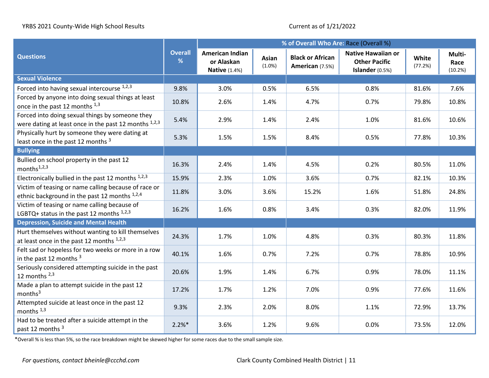|                                                                                                          |                     | % of Overall Who Are: Race (Overall %)                       |                 |                                            |                                                                      |                  |                           |  |  |
|----------------------------------------------------------------------------------------------------------|---------------------|--------------------------------------------------------------|-----------------|--------------------------------------------|----------------------------------------------------------------------|------------------|---------------------------|--|--|
| <b>Questions</b>                                                                                         | <b>Overall</b><br>% | <b>American Indian</b><br>or Alaskan<br><b>Native (1.4%)</b> | Asian<br>(1.0%) | <b>Black or African</b><br>American (7.5%) | <b>Native Hawaiian or</b><br><b>Other Pacific</b><br>Islander (0.5%) | White<br>(77.2%) | Multi-<br>Race<br>(10.2%) |  |  |
| <b>Sexual Violence</b>                                                                                   |                     |                                                              |                 |                                            |                                                                      |                  |                           |  |  |
| Forced into having sexual intercourse 1,2,3                                                              | 9.8%                | 3.0%                                                         | 0.5%            | 6.5%                                       | 0.8%                                                                 | 81.6%            | 7.6%                      |  |  |
| Forced by anyone into doing sexual things at least<br>once in the past 12 months 1,3                     | 10.8%               | 2.6%                                                         | 1.4%            | 4.7%                                       | 0.7%                                                                 | 79.8%            | 10.8%                     |  |  |
| Forced into doing sexual things by someone they<br>were dating at least once in the past 12 months 1,2,3 | 5.4%                | 2.9%                                                         | 1.4%            | 2.4%                                       | 1.0%                                                                 | 81.6%            | 10.6%                     |  |  |
| Physically hurt by someone they were dating at<br>least once in the past 12 months <sup>3</sup>          | 5.3%                | 1.5%                                                         | 1.5%            | 8.4%                                       | 0.5%                                                                 | 77.8%            | 10.3%                     |  |  |
| <b>Bullying</b>                                                                                          |                     |                                                              |                 |                                            |                                                                      |                  |                           |  |  |
| Bullied on school property in the past 12<br>months $1,2,3$                                              | 16.3%               | 2.4%                                                         | 1.4%            | 4.5%                                       | 0.2%                                                                 | 80.5%            | 11.0%                     |  |  |
| Electronically bullied in the past 12 months 1,2,3                                                       | 15.9%               | 2.3%                                                         | 1.0%            | 3.6%                                       | 0.7%                                                                 | 82.1%            | 10.3%                     |  |  |
| Victim of teasing or name calling because of race or<br>ethnic background in the past 12 months 1,2,4    | 11.8%               | 3.0%                                                         | 3.6%            | 15.2%                                      | 1.6%                                                                 | 51.8%            | 24.8%                     |  |  |
| Victim of teasing or name calling because of<br>LGBTQ+ status in the past 12 months $1,2,3$              | 16.2%               | 1.6%                                                         | 0.8%            | 3.4%                                       | 0.3%                                                                 | 82.0%            | 11.9%                     |  |  |
| <b>Depression, Suicide and Mental Health</b>                                                             |                     |                                                              |                 |                                            |                                                                      |                  |                           |  |  |
| Hurt themselves without wanting to kill themselves<br>at least once in the past 12 months $1,2,3$        | 24.3%               | 1.7%                                                         | 1.0%            | 4.8%                                       | 0.3%                                                                 | 80.3%            | 11.8%                     |  |  |
| Felt sad or hopeless for two weeks or more in a row<br>in the past 12 months <sup>3</sup>                | 40.1%               | 1.6%                                                         | 0.7%            | 7.2%                                       | 0.7%                                                                 | 78.8%            | 10.9%                     |  |  |
| Seriously considered attempting suicide in the past<br>12 months $2,3$                                   | 20.6%               | 1.9%                                                         | 1.4%            | 6.7%                                       | 0.9%                                                                 | 78.0%            | 11.1%                     |  |  |
| Made a plan to attempt suicide in the past 12<br>months <sup>3</sup>                                     | 17.2%               | 1.7%                                                         | 1.2%            | 7.0%                                       | 0.9%                                                                 | 77.6%            | 11.6%                     |  |  |
| Attempted suicide at least once in the past 12<br>months $1,3$                                           | 9.3%                | 2.3%                                                         | 2.0%            | 8.0%                                       | 1.1%                                                                 | 72.9%            | 13.7%                     |  |  |
| Had to be treated after a suicide attempt in the<br>past 12 months 3                                     | $2.2%$ *            | 3.6%                                                         | 1.2%            | 9.6%                                       | 0.0%                                                                 | 73.5%            | 12.0%                     |  |  |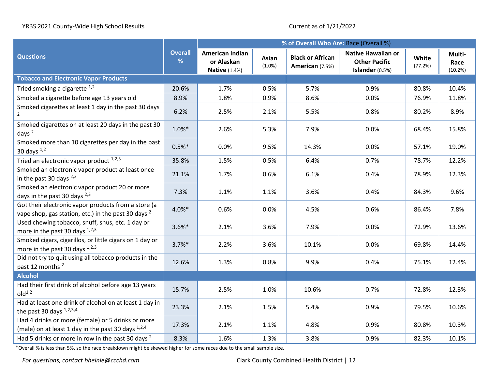|                                                                                                                       |                     | % of Overall Who Are: Race (Overall %)                       |                 |                                            |                                                                      |                  |                           |
|-----------------------------------------------------------------------------------------------------------------------|---------------------|--------------------------------------------------------------|-----------------|--------------------------------------------|----------------------------------------------------------------------|------------------|---------------------------|
| <b>Questions</b>                                                                                                      | <b>Overall</b><br>% | <b>American Indian</b><br>or Alaskan<br><b>Native (1.4%)</b> | Asian<br>(1.0%) | <b>Black or African</b><br>American (7.5%) | <b>Native Hawaiian or</b><br><b>Other Pacific</b><br>Islander (0.5%) | White<br>(77.2%) | Multi-<br>Race<br>(10.2%) |
| <b>Tobacco and Electronic Vapor Products</b>                                                                          |                     |                                                              |                 |                                            |                                                                      |                  |                           |
| Tried smoking a cigarette $1,2$                                                                                       | 20.6%               | 1.7%                                                         | 0.5%            | 5.7%                                       | 0.9%                                                                 | 80.8%            | 10.4%                     |
| Smoked a cigarette before age 13 years old                                                                            | 8.9%                | 1.8%                                                         | 0.9%            | 8.6%                                       | 0.0%                                                                 | 76.9%            | 11.8%                     |
| Smoked cigarettes at least 1 day in the past 30 days<br>$\overline{2}$                                                | 6.2%                | 2.5%                                                         | 2.1%            | 5.5%                                       | 0.8%                                                                 | 80.2%            | 8.9%                      |
| Smoked cigarettes on at least 20 days in the past 30<br>days $^2$                                                     | $1.0\%*$            | 2.6%                                                         | 5.3%            | 7.9%                                       | 0.0%                                                                 | 68.4%            | 15.8%                     |
| Smoked more than 10 cigarettes per day in the past<br>30 days $1,2$                                                   | $0.5%$ *            | 0.0%                                                         | 9.5%            | 14.3%                                      | 0.0%                                                                 | 57.1%            | 19.0%                     |
| Tried an electronic vapor product 1,2,3                                                                               | 35.8%               | 1.5%                                                         | 0.5%            | 6.4%                                       | 0.7%                                                                 | 78.7%            | 12.2%                     |
| Smoked an electronic vapor product at least once<br>in the past 30 days <sup>2,3</sup>                                | 21.1%               | 1.7%                                                         | 0.6%            | 6.1%                                       | 0.4%                                                                 | 78.9%            | 12.3%                     |
| Smoked an electronic vapor product 20 or more<br>days in the past 30 days 2,3                                         | 7.3%                | 1.1%                                                         | 1.1%            | 3.6%                                       | 0.4%                                                                 | 84.3%            | 9.6%                      |
| Got their electronic vapor products from a store (a<br>vape shop, gas station, etc.) in the past 30 days <sup>2</sup> | 4.0%*               | 0.6%                                                         | 0.0%            | 4.5%                                       | 0.6%                                                                 | 86.4%            | 7.8%                      |
| Used chewing tobacco, snuff, snus, etc. 1 day or<br>more in the past 30 days 1,2,3                                    | $3.6\%*$            | 2.1%                                                         | 3.6%            | 7.9%                                       | 0.0%                                                                 | 72.9%            | 13.6%                     |
| Smoked cigars, cigarillos, or little cigars on 1 day or<br>more in the past 30 days $1,2,3$                           | $3.7%$ *            | 2.2%                                                         | 3.6%            | 10.1%                                      | 0.0%                                                                 | 69.8%            | 14.4%                     |
| Did not try to quit using all tobacco products in the<br>past 12 months <sup>2</sup>                                  | 12.6%               | 1.3%                                                         | 0.8%            | 9.9%                                       | 0.4%                                                                 | 75.1%            | 12.4%                     |
| <b>Alcohol</b>                                                                                                        |                     |                                                              |                 |                                            |                                                                      |                  |                           |
| Had their first drink of alcohol before age 13 years<br>old <sup>1,2</sup>                                            | 15.7%               | 2.5%                                                         | 1.0%            | 10.6%                                      | 0.7%                                                                 | 72.8%            | 12.3%                     |
| Had at least one drink of alcohol on at least 1 day in<br>the past 30 days $1,2,3,4$                                  | 23.3%               | 2.1%                                                         | 1.5%            | 5.4%                                       | 0.9%                                                                 | 79.5%            | 10.6%                     |
| Had 4 drinks or more (female) or 5 drinks or more<br>(male) on at least 1 day in the past 30 days $^{1,2,4}$          | 17.3%               | 2.1%                                                         | 1.1%            | 4.8%                                       | 0.9%                                                                 | 80.8%            | 10.3%                     |
| Had 5 drinks or more in row in the past 30 days <sup>2</sup>                                                          | 8.3%                | 1.6%                                                         | 1.3%            | 3.8%                                       | 0.9%                                                                 | 82.3%            | 10.1%                     |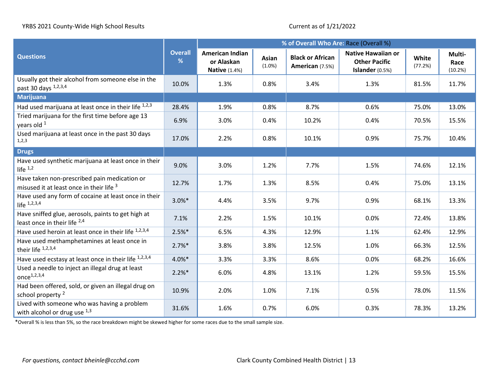|                                                                                          |                     | % of Overall Who Are: Race (Overall %)                |                    |                                            |                                                                      |                  |                           |
|------------------------------------------------------------------------------------------|---------------------|-------------------------------------------------------|--------------------|--------------------------------------------|----------------------------------------------------------------------|------------------|---------------------------|
| <b>Questions</b>                                                                         | <b>Overall</b><br>% | American Indian<br>or Alaskan<br><b>Native (1.4%)</b> | Asian<br>$(1.0\%)$ | <b>Black or African</b><br>American (7.5%) | <b>Native Hawaiian or</b><br><b>Other Pacific</b><br>Islander (0.5%) | White<br>(77.2%) | Multi-<br>Race<br>(10.2%) |
| Usually got their alcohol from someone else in the<br>past 30 days 1,2,3,4               | 10.0%               | 1.3%                                                  | 0.8%               | 3.4%                                       | 1.3%                                                                 | 81.5%            | 11.7%                     |
| <b>Marijuana</b>                                                                         |                     |                                                       |                    |                                            |                                                                      |                  |                           |
| Had used marijuana at least once in their life 1,2,3                                     | 28.4%               | 1.9%                                                  | 0.8%               | 8.7%                                       | 0.6%                                                                 | 75.0%            | 13.0%                     |
| Tried marijuana for the first time before age 13<br>years old 1                          | 6.9%                | 3.0%                                                  | 0.4%               | 10.2%                                      | 0.4%                                                                 | 70.5%            | 15.5%                     |
| Used marijuana at least once in the past 30 days<br>1,2,3                                | 17.0%               | 2.2%                                                  | 0.8%               | 10.1%                                      | 0.9%                                                                 | 75.7%            | 10.4%                     |
| <b>Drugs</b>                                                                             |                     |                                                       |                    |                                            |                                                                      |                  |                           |
| Have used synthetic marijuana at least once in their<br>life $1,2$                       | 9.0%                | 3.0%                                                  | 1.2%               | 7.7%                                       | 1.5%                                                                 | 74.6%            | 12.1%                     |
| Have taken non-prescribed pain medication or<br>misused it at least once in their life 3 | 12.7%               | 1.7%                                                  | 1.3%               | 8.5%                                       | 0.4%                                                                 | 75.0%            | 13.1%                     |
| Have used any form of cocaine at least once in their<br>life $1,2,3,4$                   | $3.0\%$ *           | 4.4%                                                  | 3.5%               | 9.7%                                       | 0.9%                                                                 | 68.1%            | 13.3%                     |
| Have sniffed glue, aerosols, paints to get high at<br>least once in their life $^{2,4}$  | 7.1%                | 2.2%                                                  | 1.5%               | 10.1%                                      | 0.0%                                                                 | 72.4%            | 13.8%                     |
| Have used heroin at least once in their life 1,2,3,4                                     | $2.5%$ *            | 6.5%                                                  | 4.3%               | 12.9%                                      | 1.1%                                                                 | 62.4%            | 12.9%                     |
| Have used methamphetamines at least once in<br>their life 1,2,3,4                        | $2.7%$ *            | 3.8%                                                  | 3.8%               | 12.5%                                      | 1.0%                                                                 | 66.3%            | 12.5%                     |
| Have used ecstasy at least once in their life 1,2,3,4                                    | $4.0\%*$            | 3.3%                                                  | 3.3%               | 8.6%                                       | 0.0%                                                                 | 68.2%            | 16.6%                     |
| Used a needle to inject an illegal drug at least<br>once $^{1,2,3,4}$                    | $2.2%$ *            | 6.0%                                                  | 4.8%               | 13.1%                                      | 1.2%                                                                 | 59.5%            | 15.5%                     |
| Had been offered, sold, or given an illegal drug on<br>school property <sup>2</sup>      | 10.9%               | 2.0%                                                  | 1.0%               | 7.1%                                       | 0.5%                                                                 | 78.0%            | 11.5%                     |
| Lived with someone who was having a problem<br>with alcohol or drug use 1,3              | 31.6%               | 1.6%                                                  | 0.7%               | 6.0%                                       | 0.3%                                                                 | 78.3%            | 13.2%                     |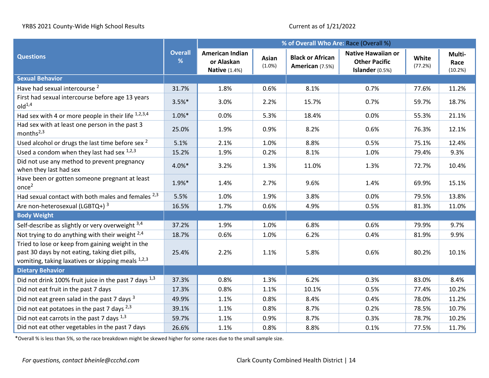|                                                                                                                                                          |                     | % of Overall Who Are: Race (Overall %)                       |                    |                                            |                                                                      |                  |                           |  |
|----------------------------------------------------------------------------------------------------------------------------------------------------------|---------------------|--------------------------------------------------------------|--------------------|--------------------------------------------|----------------------------------------------------------------------|------------------|---------------------------|--|
| <b>Questions</b>                                                                                                                                         | <b>Overall</b><br>% | <b>American Indian</b><br>or Alaskan<br><b>Native (1.4%)</b> | Asian<br>$(1.0\%)$ | <b>Black or African</b><br>American (7.5%) | <b>Native Hawaiian or</b><br><b>Other Pacific</b><br>Islander (0.5%) | White<br>(77.2%) | Multi-<br>Race<br>(10.2%) |  |
| <b>Sexual Behavior</b>                                                                                                                                   |                     |                                                              |                    |                                            |                                                                      |                  |                           |  |
| Have had sexual intercourse <sup>2</sup>                                                                                                                 | 31.7%               | 1.8%                                                         | 0.6%               | 8.1%                                       | 0.7%                                                                 | 77.6%            | 11.2%                     |  |
| First had sexual intercourse before age 13 years<br>old <sup>1,4</sup>                                                                                   | $3.5%$ *            | 3.0%                                                         | 2.2%               | 15.7%                                      | 0.7%                                                                 | 59.7%            | 18.7%                     |  |
| Had sex with 4 or more people in their life 1,2,3,4                                                                                                      | $1.0\%*$            | 0.0%                                                         | 5.3%               | 18.4%                                      | 0.0%                                                                 | 55.3%            | 21.1%                     |  |
| Had sex with at least one person in the past 3<br>months $^{2,3}$                                                                                        | 25.0%               | 1.9%                                                         | 0.9%               | 8.2%                                       | 0.6%                                                                 | 76.3%            | 12.1%                     |  |
| Used alcohol or drugs the last time before sex <sup>2</sup>                                                                                              | 5.1%                | 2.1%                                                         | 1.0%               | 8.8%                                       | 0.5%                                                                 | 75.1%            | 12.4%                     |  |
| Used a condom when they last had sex $1,2,3$                                                                                                             | 15.2%               | 1.9%                                                         | 0.2%               | 8.1%                                       | 1.0%                                                                 | 79.4%            | 9.3%                      |  |
| Did not use any method to prevent pregnancy<br>when they last had sex                                                                                    | 4.0%*               | 3.2%                                                         | 1.3%               | 11.0%                                      | 1.3%                                                                 | 72.7%            | 10.4%                     |  |
| Have been or gotten someone pregnant at least<br>once <sup>2</sup>                                                                                       | 1.9%*               | 1.4%                                                         | 2.7%               | 9.6%                                       | 1.4%                                                                 | 69.9%            | 15.1%                     |  |
| Had sexual contact with both males and females 2,3                                                                                                       | 5.5%                | 1.0%                                                         | 1.9%               | 3.8%                                       | 0.0%                                                                 | 79.5%            | 13.8%                     |  |
| Are non-heterosexual (LGBTQ+) <sup>3</sup>                                                                                                               | 16.5%               | 1.7%                                                         | 0.6%               | 4.9%                                       | 0.5%                                                                 | 81.3%            | 11.0%                     |  |
| <b>Body Weight</b>                                                                                                                                       |                     |                                                              |                    |                                            |                                                                      |                  |                           |  |
| Self-describe as slightly or very overweight 3,4                                                                                                         | 37.2%               | 1.9%                                                         | 1.0%               | 6.8%                                       | 0.6%                                                                 | 79.9%            | 9.7%                      |  |
| Not trying to do anything with their weight $2,4$                                                                                                        | 18.7%               | 0.6%                                                         | 1.0%               | 6.2%                                       | 0.4%                                                                 | 81.9%            | 9.9%                      |  |
| Tried to lose or keep from gaining weight in the<br>past 30 days by not eating, taking diet pills,<br>vomiting, taking laxatives or skipping meals 1,2,3 | 25.4%               | 2.2%                                                         | 1.1%               | 5.8%                                       | 0.6%                                                                 | 80.2%            | 10.1%                     |  |
| <b>Dietary Behavior</b>                                                                                                                                  |                     |                                                              |                    |                                            |                                                                      |                  |                           |  |
| Did not drink 100% fruit juice in the past 7 days <sup>1,3</sup>                                                                                         | 37.3%               | 0.8%                                                         | 1.3%               | 6.2%                                       | 0.3%                                                                 | 83.0%            | 8.4%                      |  |
| Did not eat fruit in the past 7 days                                                                                                                     | 17.3%               | 0.8%                                                         | 1.1%               | 10.1%                                      | 0.5%                                                                 | 77.4%            | 10.2%                     |  |
| Did not eat green salad in the past 7 days 3                                                                                                             | 49.9%               | 1.1%                                                         | 0.8%               | 8.4%                                       | 0.4%                                                                 | 78.0%            | 11.2%                     |  |
| Did not eat potatoes in the past 7 days $^{2,3}$                                                                                                         | 39.1%               | 1.1%                                                         | 0.8%               | 8.7%                                       | 0.2%                                                                 | 78.5%            | 10.7%                     |  |
| Did not eat carrots in the past 7 days 1,3                                                                                                               | 59.7%               | 1.1%                                                         | 0.9%               | 8.7%                                       | 0.3%                                                                 | 78.7%            | 10.2%                     |  |
| Did not eat other vegetables in the past 7 days                                                                                                          | 26.6%               | 1.1%                                                         | 0.8%               | 8.8%                                       | 0.1%                                                                 | 77.5%            | 11.7%                     |  |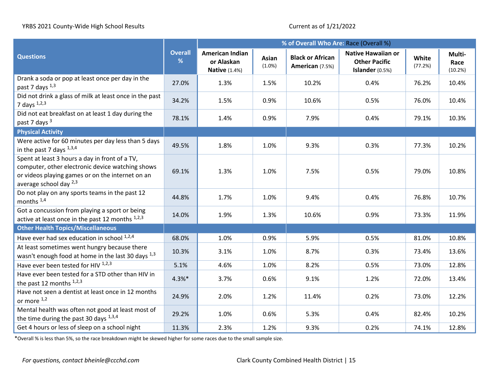|                                                                                                                                                                                       |                     | % of Overall Who Are: Race (Overall %)                       |                    |                                            |                                                                        |                  |                           |
|---------------------------------------------------------------------------------------------------------------------------------------------------------------------------------------|---------------------|--------------------------------------------------------------|--------------------|--------------------------------------------|------------------------------------------------------------------------|------------------|---------------------------|
| <b>Questions</b>                                                                                                                                                                      | <b>Overall</b><br>% | <b>American Indian</b><br>or Alaskan<br><b>Native (1.4%)</b> | Asian<br>$(1.0\%)$ | <b>Black or African</b><br>American (7.5%) | <b>Native Hawaiian or</b><br><b>Other Pacific</b><br>Islander $(0.5%)$ | White<br>(77.2%) | Multi-<br>Race<br>(10.2%) |
| Drank a soda or pop at least once per day in the<br>past 7 days $^{1,3}$                                                                                                              | 27.0%               | 1.3%                                                         | 1.5%               | 10.2%                                      | 0.4%                                                                   | 76.2%            | 10.4%                     |
| Did not drink a glass of milk at least once in the past<br>7 days $^{1,2,3}$                                                                                                          | 34.2%               | 1.5%                                                         | 0.9%               | 10.6%                                      | 0.5%                                                                   | 76.0%            | 10.4%                     |
| Did not eat breakfast on at least 1 day during the<br>past 7 days <sup>3</sup>                                                                                                        | 78.1%               | 1.4%                                                         | 0.9%               | 7.9%                                       | 0.4%                                                                   | 79.1%            | 10.3%                     |
| <b>Physical Activity</b>                                                                                                                                                              |                     |                                                              |                    |                                            |                                                                        |                  |                           |
| Were active for 60 minutes per day less than 5 days<br>in the past 7 days $^{1,3,4}$                                                                                                  | 49.5%               | 1.8%                                                         | 1.0%               | 9.3%                                       | 0.3%                                                                   | 77.3%            | 10.2%                     |
| Spent at least 3 hours a day in front of a TV,<br>computer, other electronic device watching shows<br>or videos playing games or on the internet on an<br>average school day $^{2,3}$ | 69.1%               | 1.3%                                                         | 1.0%               | 7.5%                                       | 0.5%                                                                   | 79.0%            | 10.8%                     |
| Do not play on any sports teams in the past 12<br>months <sup>1,4</sup>                                                                                                               | 44.8%               | 1.7%                                                         | 1.0%               | 9.4%                                       | 0.4%                                                                   | 76.8%            | 10.7%                     |
| Got a concussion from playing a sport or being<br>active at least once in the past 12 months 1,2,3                                                                                    | 14.0%               | 1.9%                                                         | 1.3%               | 10.6%                                      | 0.9%                                                                   | 73.3%            | 11.9%                     |
| <b>Other Health Topics/Miscellaneous</b>                                                                                                                                              |                     |                                                              |                    |                                            |                                                                        |                  |                           |
| Have ever had sex education in school 1,2,4                                                                                                                                           | 68.0%               | 1.0%                                                         | 0.9%               | 5.9%                                       | 0.5%                                                                   | 81.0%            | 10.8%                     |
| At least sometimes went hungry because there<br>wasn't enough food at home in the last 30 days $^{1,3}$                                                                               | 10.3%               | 3.1%                                                         | 1.0%               | 8.7%                                       | 0.3%                                                                   | 73.4%            | 13.6%                     |
| Have ever been tested for HIV $1,2,3$                                                                                                                                                 | 5.1%                | 4.6%                                                         | 1.0%               | 8.2%                                       | 0.5%                                                                   | 73.0%            | 12.8%                     |
| Have ever been tested for a STD other than HIV in<br>the past 12 months $1,2,3$                                                                                                       | $4.3%$ *            | 3.7%                                                         | 0.6%               | 9.1%                                       | 1.2%                                                                   | 72.0%            | 13.4%                     |
| Have not seen a dentist at least once in 12 months<br>or more $1,2$                                                                                                                   | 24.9%               | 2.0%                                                         | 1.2%               | 11.4%                                      | 0.2%                                                                   | 73.0%            | 12.2%                     |
| Mental health was often not good at least most of<br>the time during the past 30 days 1,3,4                                                                                           | 29.2%               | 1.0%                                                         | 0.6%               | 5.3%                                       | 0.4%                                                                   | 82.4%            | 10.2%                     |
| Get 4 hours or less of sleep on a school night                                                                                                                                        | 11.3%               | 2.3%                                                         | 1.2%               | 9.3%                                       | 0.2%                                                                   | 74.1%            | 12.8%                     |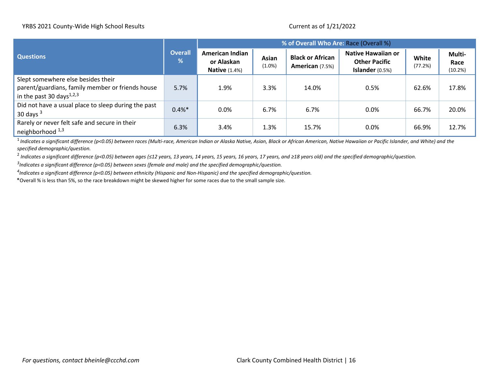|                                                                                                                                |                     | % of Overall Who Are: Race (Overall %)                       |                    |                                            |                                                                      |                  |                           |  |
|--------------------------------------------------------------------------------------------------------------------------------|---------------------|--------------------------------------------------------------|--------------------|--------------------------------------------|----------------------------------------------------------------------|------------------|---------------------------|--|
| <b>Questions</b>                                                                                                               | <b>Overall</b><br>% | <b>American Indian</b><br>or Alaskan<br><b>Native (1.4%)</b> | Asian<br>$(1.0\%)$ | <b>Black or African</b><br>American (7.5%) | <b>Native Hawaiian or</b><br><b>Other Pacific</b><br>Islander (0.5%) | White<br>(77.2%) | Multi-<br>Race<br>(10.2%) |  |
| Slept somewhere else besides their<br>parent/guardians, family member or friends house<br>in the past 30 days <sup>1,2,3</sup> | 5.7%                | 1.9%                                                         | 3.3%               | 14.0%                                      | 0.5%                                                                 | 62.6%            | 17.8%                     |  |
| Did not have a usual place to sleep during the past<br>30 days $3$                                                             | 0.4%                | 0.0%                                                         | 6.7%               | 6.7%                                       | $0.0\%$                                                              | 66.7%            | 20.0%                     |  |
| Rarely or never felt safe and secure in their<br>neighborhood 1,3                                                              | 6.3%                | 3.4%                                                         | 1.3%               | 15.7%                                      | 0.0%                                                                 | 66.9%            | 12.7%                     |  |

<sup>1</sup> Indicates a significant difference (p<0.05) between races (Multi-race, American Indian or Alaska Native, Asian, Black or African American, Native Hawaiian or Pacific Islander, and White) and the *specified demographic/question.*

2 *Indicates a significant difference (p<0.05) between ages (≤12 years, 13 years, 14 years, 15 years, 16 years, 17 years, and ≥18 years old) and the specified demographic/question.* 

*3 Indicates a significant difference (p<0.05) between sexes (female and male) and the specified demographic/question.*

*4 Indicates a significant difference (p<0.05) between ethnicity (Hispanic and Non-Hispanic) and the specified demographic/question.*